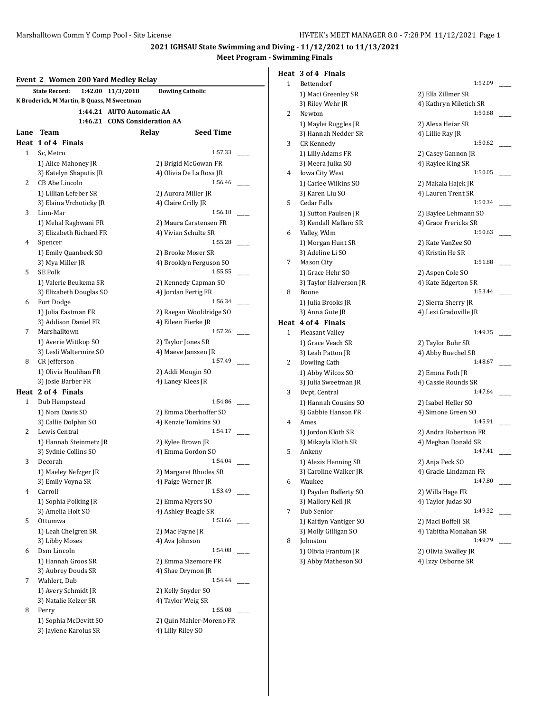## **Event 2 Women 200 Yard Medley Relay State Record: 1:42.00 11/3/2018 Dowling Catholic K Broderick, M Martin, B Quass, M Sweetman 1:44.21 AUTO Automatic AA 1:46.21 CONS Consideration AA Lane Team Relay Seed Time Heat 1 of 4 Finals** 1 Sc, Metro 1:57.33 1) Alice Mahoney JR 2) Brigid McGowan FR 3) Katelyn Shaputis JR 4) Olivia De La Rosa JR 2 CB Abe Lincoln 1:56.46 1) Lillian Lefeber SR 2) Aurora Miller JR 3) Elaina Vrchoticky JR 4) Claire Crilly JR 3 Linn-Mar 1:56.18 \_\_\_\_\_ 1) Mehal Raghwani FR 2) Maura Carstensen FR 3) Elizabeth Richard FR 4) Vivian Schulte SR 4 Spencer 1:55.28 1) Emily Quanbeck SO 2) Brooke Moser SR 3) Mya Miller JR 4) Brooklyn Ferguson SO 5 SE Polk 1:55.55 1) Valerie Beukema SR 2) Kennedy Capman SO 3) Elizabeth Douglas SO 4) Jordan Fertig FR 6 Fort Dodge 1:56.34 1) Julia Eastman FR 2) Raegan Wooldridge SO 3) Addison Daniel FR 4) Eileen Fierke JR 7 Marshalltown 1:57.26 1) Averie Wittkop SO 2) Taylor Jones SR 3) Lesli Waltermire SO 4) Maeve Janssen JR 8 CR Jefferson 1:57.49 1) Olivia Houlihan FR 2) Addi Mougin SO 3) Josie Barber FR 4) Laney Klees JR **Heat 2 of 4 Finals** 1 Dub Hempstead 1:54.86 1) Nora Davis SO 2) Emma Oberhoffer SO 3) Callie Dolphin SO 4) Kenzie Tomkins SO 2 Lewis Central 1:54.17 1) Hannah Steinmetz JR 2) Kylee Brown JR 3) Sydnie Collins SO 4) Emma Gordon SO 3 Decorah 1:54.04 1) Maeley Nefzger JR 2) Margaret Rhodes SR 3) Emily Voyna SR 4) Paige Werner JR 4 Carroll 1:53.49 \_\_\_\_\_ 1) Sophia Polking JR 2) Emma Myers SO 3) Amelia Holt SO 4) Ashley Beagle SR 5 Ottumwa 1:53.66 \_\_\_\_\_ 1) Leah Chelgren SR 2) Mac Payne JR 3) Libby Moses 4) Ava Johnson 6 Dsm Lincoln 1:54.08 \_\_\_\_\_ 1) Hannah Groos SR 2) Emma Sizemore FR 3) Aubrey Douds SR 4) Shae Drymon JR 7 Wahlert, Dub 1:54.44 1) Avery Schmidt JR 2) Kelly Snyder SO 3) Natalie Kelzer SR 4) Taylor Weig SR 8 Perry 1:55.08 \_\_\_\_\_ 1) Sophia McDevitt SO 2) Quin Mahler-Moreno FR 3) Jaylene Karolus SR 4) Lilly Riley SO

# **Heat 3 of 4 Finals**

| 1 | Bettendorf                                  | 1:52.09                                    |
|---|---------------------------------------------|--------------------------------------------|
|   | 1) Maci Greenley SR                         | 2) Ella Zillmer SR                         |
|   | 3) Riley Wehr JR                            | 4) Kathryn Miletich SR                     |
| 2 | Newton                                      | 1:50.68                                    |
|   | 1) Maylei Ruggles JR                        | 2) Alexa Heiar SR                          |
|   | 3) Hannah Nedder SR                         | 4) Lillie Ray JR                           |
| 3 | <b>CR Kennedy</b>                           | 1:50.62                                    |
|   | 1) Lilly Adams FR                           | 2) Casey Gannon JR                         |
|   | 3) Meera Julka SO                           | 4) Raylee King SR                          |
| 4 | <b>Iowa City West</b>                       | 1:50.05                                    |
|   | 1) Carlee Wilkins SO                        | 2) Makala Hajek JR                         |
|   | 3) Karen Liu SO                             | 4) Lauren Trent SR                         |
| 5 | Cedar Falls                                 | 1:50.34                                    |
|   | 1) Sutton Paulsen JR                        | 2) Baylee Lehmann SO                       |
|   | 3) Kendall Mallaro SR                       | 4) Grace Frericks SR                       |
| 6 | Valley, Wdm                                 | 1:50.63                                    |
|   | 1) Morgan Hunt SR                           | 2) Kate VanZee SO                          |
|   | 3) Adeline Li SO                            | 4) Kristin He SR                           |
| 7 | Mason City                                  | 1:51.88                                    |
|   | 1) Grace Hehr SO                            | 2) Aspen Cole SO                           |
|   | 3) Taylor Halverson JR                      | 4) Kate Edgerton SR                        |
| 8 | Boone                                       | 1:53.44                                    |
|   | 1) Julia Brooks JR                          | 2) Sierra Sherry JR                        |
|   | 3) Anna Gute JR                             | 4) Lexi Gradoville JR                      |
|   | Heat 4 of 4 Finals                          |                                            |
|   |                                             |                                            |
| 1 | Pleasant Valley                             | 1:49.35                                    |
|   | 1) Grace Veach SR                           | 2) Taylor Buhr SR                          |
|   | 3) Leah Patton JR                           | 4) Abby Buechel SR                         |
| 2 | Dowling Cath                                | 1:48.67                                    |
|   | 1) Abby Wilcox SO                           | 2) Emma Foth JR                            |
|   | 3) Julia Sweetman JR                        | 4) Cassie Rounds SR                        |
| 3 | Dvpt, Central                               | 1:47.64                                    |
|   | 1) Hannah Cousins SO                        | 2) Isabel Heller SO                        |
|   | 3) Gabbie Hanson FR                         | 4) Simone Green SO                         |
| 4 | Ames                                        | 1:45.91                                    |
|   | 1) Jordon Kloth SR                          | 2) Andra Robertson FR                      |
|   | 3) Mikayla Kloth SR                         | 4) Meghan Donald SR                        |
| 5 | Ankeny                                      | 1:47.41                                    |
|   | 1) Alexis Henning SR                        | 2) Anja Peck SO                            |
|   | 3) Caroline Walker JR                       | 4) Gracie Lindaman FR                      |
| 6 | Waukee                                      | 1:47.80                                    |
|   | 1) Payden Rafferty SO                       | 2) Willa Hage FR                           |
|   | 3) Mallory Kell JR                          | 4) Taylor Judas SO                         |
| 7 | Dub Senior                                  | 1:49.32                                    |
|   | 1) Kaitlyn Vantiger SO                      | 2) Maci Boffeli SR                         |
|   | 3) Molly Gilligan SO                        | 4) Tabitha Monahan SR                      |
| 8 | Johnston                                    | 1:49.79                                    |
|   | 1) Olivia Frantum JR<br>3) Abby Matheson SO | 2) Olivia Swalley JR<br>4) Izzy Osborne SR |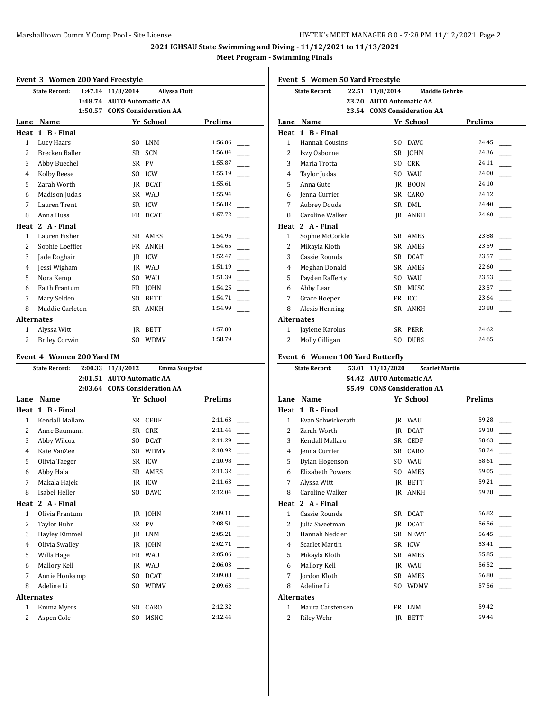#### **Event 3 Women 200 Yard Freestyle**

|                   | <b>State Record:</b> |         | 1:47.14 11/8/2014            |             | <b>Allyssa Fluit</b> |
|-------------------|----------------------|---------|------------------------------|-------------|----------------------|
|                   |                      | 1:48.74 | <b>AUTO Automatic AA</b>     |             |                      |
|                   |                      | 1:50.57 | <b>CONS Consideration AA</b> |             |                      |
| Lane              | Name                 |         |                              | Yr School   | <b>Prelims</b>       |
| Heat              | 1 B - Final          |         |                              |             |                      |
| 1                 | Lucy Haars           |         | S <sub>O</sub>               | <b>LNM</b>  | 1:56.86              |
| 2                 | Brecken Baller       |         | SR                           | <b>SCN</b>  | 1:56.04              |
| 3                 | Abby Buechel         |         |                              | SR PV       | 1:55.87              |
| $\overline{4}$    | Kolby Reese          |         | S <sub>O</sub>               | <b>ICW</b>  | 1:55.19              |
| 5                 | Zarah Worth          |         | IR                           | DCAT        | 1:55.61              |
| 6                 | Madison Judas        |         | SR                           | WAU         | 1:55.94              |
| 7                 | Lauren Trent         |         |                              | SR ICW      | 1:56.82              |
| 8                 | Anna Huss            |         |                              | FR DCAT     | 1:57.72              |
| Heat              | 2 A - Final          |         |                              |             |                      |
| 1                 | Lauren Fisher        |         | <b>SR</b>                    | AMES        | 1:54.96              |
| $\overline{2}$    | Sophie Loeffler      |         | FR                           | <b>ANKH</b> | 1:54.65              |
| 3                 | Jade Roghair         |         | IR                           | ICW         | 1:52.47              |
| $\overline{4}$    | Jessi Wigham         |         | IR                           | WAU         | 1:51.19              |
| 5                 | Nora Kemp            |         | S <sub>O</sub>               | <b>WAU</b>  | 1:51.39              |
| 6                 | <b>Faith Frantum</b> |         | FR                           | <b>JOHN</b> | 1:54.25              |
| 7                 | Mary Selden          |         | S <sub>O</sub>               | <b>BETT</b> | 1:54.71              |
| 8                 | Maddie Carleton      |         |                              | SR ANKH     | 1:54.99              |
| <b>Alternates</b> |                      |         |                              |             |                      |
| 1                 | Alyssa Witt          |         | IR                           | <b>BETT</b> | 1:57.80              |
| $\overline{c}$    | <b>Briley Corwin</b> |         | SO.                          | <b>WDMV</b> | 1:58.79              |

### **Event 4 Women 200 Yard IM**

|                | <b>State Record:</b> | 2:00.33 | 11/3/2012                     |             | <b>Emma Sougstad</b> |
|----------------|----------------------|---------|-------------------------------|-------------|----------------------|
|                |                      | 2:01.51 | <b>AUTO Automatic AA</b>      |             |                      |
|                |                      |         | 2:03.64 CONS Consideration AA |             |                      |
| Lane           | Name                 |         |                               | Yr School   | <b>Prelims</b>       |
| Heat           | 1 B - Final          |         |                               |             |                      |
| 1              | Kendall Mallaro      |         | SR.                           | <b>CEDF</b> | 2:11.63              |
| $\overline{2}$ | Anne Baumann         |         | SR.                           | <b>CRK</b>  | 2:11.44              |
| 3              | Abby Wilcox          |         | SO.                           | <b>DCAT</b> | 2:11.29              |
| 4              | Kate VanZee          |         | SO.                           | <b>WDMV</b> | 2:10.92              |
| 5              | Olivia Taeger        |         | SR                            | ICW         | 2:10.98              |
| 6              | Abby Hala            |         | SR                            | AMES        | 2:11.32              |
| 7              | Makala Hajek         |         | <b>IR</b>                     | ICW         | 2:11.63              |
| 8              | Isabel Heller        |         | S <sub>O</sub>                | <b>DAVC</b> | 2:12.04              |
| Heat           | 2 A - Final          |         |                               |             |                      |
| 1              | Olivia Frantum       |         | IR                            | <b>JOHN</b> | 2:09.11              |
| $\overline{2}$ | <b>Taylor Buhr</b>   |         | SR                            | <b>PV</b>   | 2:08.51              |
| 3              | Hayley Kimmel        |         | JR.                           | LNM         | 2:05.21              |
| $\overline{4}$ | Olivia Swalley       |         | IR                            | <b>JOHN</b> | 2:02.71              |
| 5              | Willa Hage           |         | FR                            | WAU         | 2:05.06              |
| 6              | Mallory Kell         |         | <b>IR</b>                     | <b>WAU</b>  | 2:06.03              |
| 7              | Annie Honkamp        |         | S <sub>O</sub>                | <b>DCAT</b> | 2:09.08              |
| 8              | Adeline Li           |         | S <sub>O</sub>                | <b>WDMV</b> | 2:09.63              |
|                | <b>Alternates</b>    |         |                               |             |                      |
| $\mathbf{1}$   | Emma Myers           |         | S <sub>O</sub>                | CARO        | 2:12.32              |
| $\overline{2}$ | Aspen Cole           |         | S <sub>O</sub>                | <b>MSNC</b> | 2:12.44              |
|                |                      |         |                               |             |                      |

|  |  |  |  | Event 5 Women 50 Yard Freestyle |
|--|--|--|--|---------------------------------|
|--|--|--|--|---------------------------------|

|              | 22.51<br><b>State Record:</b>    | 11/8/2014               | <b>Maddie Gehrke</b>        |         |
|--------------|----------------------------------|-------------------------|-----------------------------|---------|
|              |                                  | 23.20 AUTO Automatic AA |                             |         |
|              |                                  |                         | 23.54 CONS Consideration AA |         |
| Lane         | Name                             |                         | Yr School                   | Prelims |
|              | Heat 1 B-Final                   |                         |                             |         |
| $\mathbf{1}$ | Hannah Cousins                   |                         | SO DAVC                     | 24.45   |
| 2            | Izzy Osborne                     |                         | SR JOHN                     | 24.36   |
| 3            | Maria Trotta                     |                         | SO CRK                      | 24.11   |
| 4            | Taylor Judas                     |                         | SO WAU                      | 24.00   |
| 5            | Anna Gute                        |                         | JR BOON                     | 24.10   |
| 6            | Jenna Currier                    |                         | SR CARO                     | 24.12   |
| 7            | <b>Aubrey Douds</b>              |                         | SR DML                      | 24.40   |
| 8            | Caroline Walker                  |                         | JR ANKH                     | 24.60   |
|              | Heat 2 A - Final                 |                         |                             |         |
| 1            | Sophie McCorkle                  |                         | SR AMES                     | 23.88   |
| 2            | Mikayla Kloth                    |                         | SR AMES                     | 23.59   |
| 3            | Cassie Rounds                    |                         | SR DCAT                     | 23.57   |
| 4            | Meghan Donald                    |                         | SR AMES                     | 22.60   |
| 5            | Payden Rafferty                  |                         | SO WAU                      | 23.53   |
| 6            | Abby Lear                        |                         | SR MUSC                     | 23.57   |
| 7            | Grace Hoeper                     |                         | FR ICC                      | 23.64   |
| 8            | Alexis Henning                   |                         | SR ANKH                     | 23.88   |
| Alternates   |                                  |                         |                             |         |
| $\mathbf{1}$ | Jaylene Karolus                  |                         | SR PERR                     | 24.62   |
| 2            | Molly Gilligan                   | SO                      | DUBS                        | 24.65   |
|              |                                  |                         |                             |         |
|              | Event 6 Women 100 Yard Butterfly |                         |                             |         |
|              | <b>State Record:</b>             | 53.01 11/13/2020        | <b>Scarlet Martin</b>       |         |
|              |                                  | 54.42 AUTO Automatic AA |                             |         |
|              |                                  |                         | 55.49 CONS Consideration AA |         |
|              | <b>Lane Name</b>                 |                         | Yr School                   | Prelims |
|              | Heat 1 B-Final                   |                         |                             |         |
| $\mathbf{1}$ | Evan Schwickerath                |                         | JR WAU                      | 59.28   |
| 2            | Zarah Worth                      |                         | JR DCAT                     | 59.18   |
| 3            | Kendall Mallaro                  |                         | SR CEDF                     | 58.63   |
| 4            | Jenna Currier                    |                         | SR CARO                     | 58.24   |
| 5            | Dylan Hogenson                   |                         | SO WAU                      | 58.61   |
| 6            | <b>Elizabeth Powers</b>          |                         | SO AMES                     | 59.05   |
| 7            | Alyssa Witt                      |                         | JR BETT                     | 59.21   |
| 8            | Caroline Walker                  |                         | JR ANKH                     | 59.28   |
|              | Heat 2 A - Final                 |                         |                             |         |
| $\mathbf{1}$ | Cassie Rounds                    | SR                      | DCAT                        | 56.82   |
| 2            | Julia Sweetman                   |                         | JR DCAT                     | 56.56   |
| 3            | Hannah Nedder                    |                         | SR NEWT                     | 56.45   |
| 4            | Scarlet Martin                   |                         | SR ICW                      | 53.41   |
| 5            | Mikayla Kloth                    |                         | SR AMES                     | 55.85   |
| 6            | Mallory Kell                     |                         | JR WAU                      | 56.52   |
| 7            | Jordon Kloth                     |                         | SR AMES                     | 56.80   |
| 8            | Adeline Li                       | SO.                     | <b>WDMV</b>                 | 57.56   |
| Alternates   |                                  |                         |                             |         |
| 1            |                                  |                         | FR LNM                      | 59.42   |
| 2            | Maura Carstensen<br>Riley Wehr   | JR                      | <b>BETT</b>                 | 59.44   |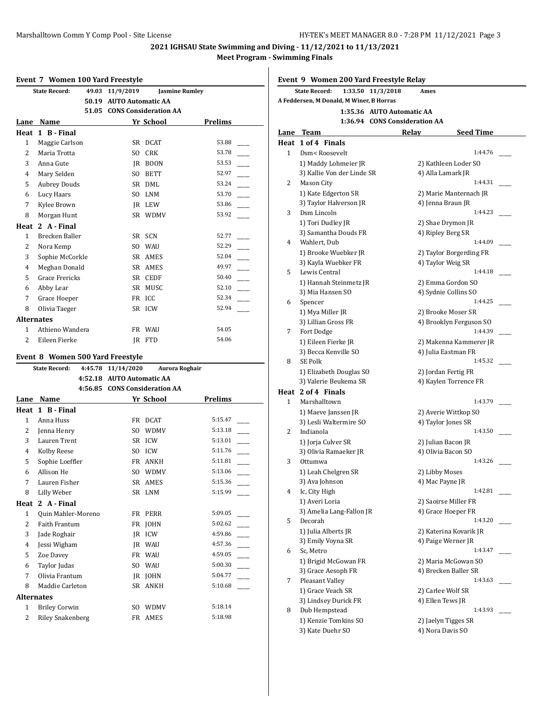#### **Event 7 Women 100 Yard Freestyle**

|                   | women too faru ricestyle<br><b>State Record:</b> | 49.03 | 11/9/2019                    |             | <b>Jasmine Rumley</b> |
|-------------------|--------------------------------------------------|-------|------------------------------|-------------|-----------------------|
|                   |                                                  |       |                              |             |                       |
|                   |                                                  | 50.19 | <b>AUTO Automatic AA</b>     |             |                       |
|                   |                                                  | 51.05 | <b>CONS Consideration AA</b> |             |                       |
| Lane              | Name                                             |       |                              | Yr School   | <b>Prelims</b>        |
| Heat              | 1 B - Final                                      |       |                              |             |                       |
| 1                 | Maggie Carlson                                   |       | <b>SR</b>                    | <b>DCAT</b> | 53.88                 |
| 2                 | Maria Trotta                                     |       | S <sub>O</sub>               | <b>CRK</b>  | 53.78                 |
| 3                 | Anna Gute                                        |       | IR                           | <b>BOON</b> | 53.53                 |
| 4                 | Mary Selden                                      |       | S <sub>O</sub>               | <b>BETT</b> | 52.97                 |
| 5                 | <b>Aubrey Douds</b>                              |       | <b>SR</b>                    | DML         | 53.24                 |
| 6                 | Lucy Haars                                       |       | S <sub>O</sub>               | <b>LNM</b>  | 53.70                 |
| 7                 | Kylee Brown                                      |       | IR                           | LEW         | 53.86                 |
| 8                 | Morgan Hunt                                      |       | SR                           | <b>WDMV</b> | 53.92                 |
| Heat              | 2 A - Final                                      |       |                              |             |                       |
| 1                 | Brecken Baller                                   |       | SR.                          | <b>SCN</b>  | 52.77                 |
| 2                 | Nora Kemp                                        |       | SO.                          | WAU         | 52.29                 |
| 3                 | Sophie McCorkle                                  |       | <b>SR</b>                    | AMES        | 52.04                 |
| $\overline{4}$    | Meghan Donald                                    |       | <b>SR</b>                    | AMES        | 49.97                 |
| 5                 | <b>Grace Frericks</b>                            |       | <b>SR</b>                    | <b>CEDF</b> | 50.40                 |
| 6                 | Abby Lear                                        |       | <b>SR</b>                    | MUSC        | 52.10                 |
| 7                 | Grace Hoeper                                     |       | <b>FR</b>                    | ICC         | 52.34                 |
| 8                 | Olivia Taeger                                    |       | <b>SR</b>                    | ICW         | 52.94                 |
| <b>Alternates</b> |                                                  |       |                              |             |                       |
| 1                 | Athieno Wandera                                  |       | FR                           | <b>WAU</b>  | 54.05                 |
| $\overline{2}$    | Eileen Fierke                                    |       | JR.                          | <b>FTD</b>  | 54.06                 |

### **Event 8 Women 500 Yard Freestyle**

|                | <b>State Record:</b><br>4:45.78 | 11/14/2020               | <b>Aurora Roghair</b>        |                |
|----------------|---------------------------------|--------------------------|------------------------------|----------------|
|                | 4:52.18                         | <b>AUTO Automatic AA</b> |                              |                |
|                | 4:56.85                         |                          | <b>CONS Consideration AA</b> |                |
| Lane           | Name                            |                          | Yr School                    | <b>Prelims</b> |
| Heat           | 1 B - Final                     |                          |                              |                |
| 1              | Anna Huss                       | FR                       | <b>DCAT</b>                  | 5:15.47        |
| 2              | Jenna Henry                     | SO.                      | <b>WDMV</b>                  | 5:13.18        |
| 3              | Lauren Trent                    | <b>SR</b>                | ICW                          | 5:13.01        |
| 4              | Kolby Reese                     | SO.                      | <b>ICW</b>                   | 5:11.76        |
| 5              | Sophie Loeffler                 | FR                       | ANKH                         | 5:11.81        |
| 6              | Allison He                      | SO.                      | <b>WDMV</b>                  | 5:13.06        |
| 7              | Lauren Fisher                   | SR.                      | <b>AMES</b>                  | 5:15.36        |
| 8              | Lilly Weber                     | SR                       | LNM                          | 5:15.99        |
| Heat           | 2 A - Final                     |                          |                              |                |
| $\mathbf{1}$   | Quin Mahler-Moreno              |                          | FR PERR                      | 5:09.05        |
| $\overline{2}$ | <b>Faith Frantum</b>            | FR                       | <b>JOHN</b>                  | 5:02.62        |
| 3              | Jade Roghair                    | IR                       | ICW                          | 4:59.86        |
| 4              | Jessi Wigham                    | IR                       | <b>WAU</b>                   | 4:57.36        |
| 5              | Zoe Davey                       | FR                       | <b>WAU</b>                   | 4:59.05        |
| 6              | Taylor Judas                    | S <sub>O</sub>           | <b>WAU</b>                   | 5:00.30        |
| 7              | Olivia Frantum                  | IR                       | <b>JOHN</b>                  | 5:04.77        |
| 8              | Maddie Carleton                 | SR                       | <b>ANKH</b>                  | 5:10.68        |
|                | <b>Alternates</b>               |                          |                              |                |
| $\mathbf{1}$   | <b>Briley Corwin</b>            | SO.                      | <b>WDMV</b>                  | 5:18.14        |
| 2              | <b>Riley Snakenberg</b>         | FR                       | AMES                         | 5:18.98        |
|                |                                 |                          |                              |                |

**Event 9 Women 200 Yard Freestyle Relay**

|      | <b>State Record:</b>                                         | 1:33.50 11/3/2018             | Ames                    |
|------|--------------------------------------------------------------|-------------------------------|-------------------------|
|      | A Feddersen, M Donald, M Winer, B Horras                     |                               |                         |
|      |                                                              | 1:35.36 AUTO Automatic AA     |                         |
|      |                                                              | 1:36.94 CONS Consideration AA |                         |
| Lane | <b>Team</b>                                                  | Relay                         | Seed Time               |
|      | Heat 1 of 4 Finals                                           |                               |                         |
| 1    | Dsm <roosevelt< td=""><td></td><td>1:44.76</td></roosevelt<> |                               | 1:44.76                 |
|      | 1) Maddy Lohmeier JR                                         |                               | 2) Kathleen Loder SO    |
|      | 3) Kallie Von der Linde SR                                   |                               | 4) Alla Lamark JR       |
| 2    | Mason City                                                   |                               | 1:44.31                 |
|      | 1) Kate Edgerton SR                                          |                               | 2) Marie Manternach JR  |
|      | 3) Taylor Halverson JR                                       |                               | 4) Jenna Braun JR       |
| 3    | Dsm Lincoln                                                  |                               | 1:44.23                 |
|      | 1) Tori Dudley JR                                            |                               | 2) Shae Drymon JR       |
|      | 3) Samantha Douds FR                                         |                               | 4) Ripley Berg SR       |
| 4    | Wahlert, Dub                                                 |                               | 1:44.09                 |
|      | 1) Brooke Wuebker JR                                         |                               | 2) Taylor Borgerding FR |
|      | 3) Kayla Wuebker FR                                          |                               | 4) Taylor Weig SR       |
| 5    | Lewis Central                                                |                               | 1:44.18                 |
|      | 1) Hannah Steinmetz JR                                       |                               | 2) Emma Gordon SO       |
|      | 3) Mia Hansen SO                                             |                               | 4) Sydnie Collins SO    |
| 6    | Spencer                                                      |                               | 1:44.25                 |
|      | 1) Mya Miller JR                                             |                               | 2) Brooke Moser SR      |
|      | 3) Lillian Gross FR                                          |                               | 4) Brooklyn Ferguson SO |
| 7    | Fort Dodge                                                   |                               | 1:44.39                 |
|      | 1) Eileen Fierke JR                                          |                               | 2) Makenna Kammerer JR  |
|      | 3) Becca Kenville SO                                         |                               | 4) Julia Eastman FR     |
| 8    | SE Polk                                                      |                               | 1:45.32                 |
|      | 1) Elizabeth Douglas SO                                      |                               | 2) Jordan Fertig FR     |
|      | 3) Valerie Beukema SR                                        |                               | 4) Kaylen Torrence FR   |
|      | Heat 2 of 4 Finals                                           |                               |                         |
| 1    | Marshalltown                                                 |                               | 1:43.79                 |
|      | 1) Maeve Janssen JR                                          |                               | 2) Averie Wittkop SO    |
|      | 3) Lesli Waltermire SO                                       |                               | 4) Taylor Jones SR      |
| 2    | Indianola                                                    |                               | 1:43.50                 |
|      | 1) Jorja Culver SR                                           |                               | 2) Julian Bacon JR      |
|      | 3) Olivia Ramaeker JR                                        |                               | 4) Olivia Bacon SO      |
| 3    | Ottumwa                                                      |                               | 1:43.26                 |
|      | 1) Leah Chelgren SR                                          |                               | 2) Libby Moses          |
|      | 3) Ava Johnson                                               |                               | 4) Mac Payne JR         |
| 4    | Ic, City High                                                |                               | 1:42.81                 |
|      | 1) Averi Loria                                               |                               | 2) Saoirse Miller FR    |
|      | 3) Amelia Lang-Fallon JR                                     |                               | 4) Grace Hoeper FR      |
| 5    | Decorah                                                      |                               | 1:43.20                 |
|      | 1) Julia Alberts JR                                          |                               | 2) Katerina Kovarik JR  |
|      | 3) Emily Voyna SR                                            |                               | 4) Paige Werner JR      |
| 6    | Sc, Metro                                                    |                               | 1:43.47                 |
|      | 1) Brigid McGowan FR                                         |                               | 2) Maria McGowan SO     |
|      | 3) Grace Aesoph FR                                           |                               | 4) Brecken Baller SR    |
| 7    | Pleasant Valley                                              |                               | 1:43.63                 |
|      | 1) Grace Veach SR                                            |                               | 2) Carlee Wolf SR       |
|      | 3) Lindsey Durick FR                                         |                               | 4) Ellen Tews JR        |
| 8    | Dub Hempstead                                                |                               | 1:43.93                 |
|      | 1) Kenzie Tomkins SO                                         |                               | 2) Jaelyn Tigges SR     |
|      | 3) Kate Duehr SO                                             |                               | 4) Nora Davis SO        |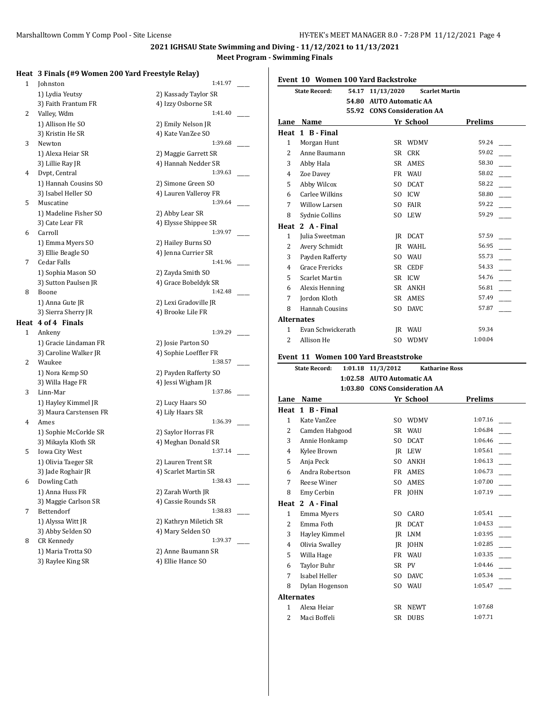## **Heat 3 Finals (#9 Women 200 Yard Freestyle Relay)**

| 1    | Johnston                                | 1:41.97                                 |
|------|-----------------------------------------|-----------------------------------------|
|      | 1) Lydia Yeutsy                         | 2) Kassady Taylor SR                    |
|      | 3) Faith Frantum FR                     | 4) Izzy Osborne SR                      |
| 2    | Valley, Wdm                             | 1:41.40                                 |
|      | 1) Allison He SO                        | 2) Emily Nelson JR                      |
|      | 3) Kristin He SR                        | 4) Kate VanZee SO                       |
| 3    | Newton                                  | 1:39.68                                 |
|      | 1) Alexa Heiar SR                       | 2) Maggie Garrett SR                    |
|      | 3) Lillie Ray JR                        | 4) Hannah Nedder SR                     |
| 4    | Dvpt, Central                           | 1:39.63                                 |
|      | 1) Hannah Cousins SO                    | 2) Simone Green SO                      |
|      | 3) Isabel Heller SO                     | 4) Lauren Valleroy FR                   |
| 5    | Muscatine                               | 1:39.64                                 |
|      | 1) Madeline Fisher SO                   | 2) Abby Lear SR                         |
|      | 3) Cate Lear FR                         | 4) Elysse Shippee SR                    |
| 6    | Carroll                                 | 1:39.97                                 |
|      | 1) Emma Myers SO                        | 2) Hailey Burns SO                      |
|      | 3) Ellie Beagle SO                      | 4) Jenna Currier SR                     |
| 7    | Cedar Falls                             | 1:41.96                                 |
|      | 1) Sophia Mason SO                      | 2) Zayda Smith SO                       |
|      | 3) Sutton Paulsen JR                    | 4) Grace Bobeldyk SR                    |
| 8    | Boone                                   | 1:42.48                                 |
|      | 1) Anna Gute JR                         | 2) Lexi Gradoville JR                   |
|      | 3) Sierra Sherry JR                     | 4) Brooke Lile FR                       |
| Heat | 4 of 4 Finals                           |                                         |
| 1    | Ankeny                                  | 1:39.29                                 |
|      |                                         | 2) Josie Parton SO                      |
|      | 1) Gracie Lindaman FR                   |                                         |
|      | 3) Caroline Walker JR                   | 4) Sophie Loeffler FR                   |
| 2    | Waukee                                  | 1:38.57                                 |
|      | 1) Nora Kemp SO                         | 2) Payden Rafferty SO                   |
|      | 3) Willa Hage FR                        | 4) Jessi Wigham JR                      |
| 3    | Linn-Mar                                | 1:37.86                                 |
|      | 1) Hayley Kimmel JR                     | 2) Lucy Haars SO                        |
|      | 3) Maura Carstensen FR                  | 4) Lily Haars SR                        |
| 4    | Ames                                    | 1:36.39                                 |
|      | 1) Sophie McCorkle SR                   | 2) Saylor Horras FR                     |
|      | 3) Mikayla Kloth SR                     | 4) Meghan Donald SR                     |
| 5    | Iowa City West                          | 1:37.14                                 |
|      | 1) Olivia Taeger SR                     | 2) Lauren Trent SR                      |
|      | 3) Jade Roghair JR                      | 4) Scarlet Martin SR                    |
| 6    | Dowling Cath                            | 1:38.43                                 |
|      | 1) Anna Huss FR                         | 2) Zarah Worth JR                       |
|      | 3) Maggie Carlson SR                    | 4) Cassie Rounds SR                     |
| 7    | Bettendorf                              | 1:38.83                                 |
|      | 1) Alyssa Witt JR                       | 2) Kathryn Miletich SR                  |
|      | 3) Abby Selden SO                       | 4) Mary Selden SO                       |
| 8    | <b>CR Kennedy</b>                       | 1:39.37                                 |
|      | 1) Maria Trotta SO<br>3) Raylee King SR | 2) Anne Baumann SR<br>4) Ellie Hance SO |

|                        | 1:41.97 |  |
|------------------------|---------|--|
| 2) Kassady Taylor SR   |         |  |
| 4) Izzy Osborne SR     |         |  |
|                        |         |  |
|                        | 1:41.40 |  |
| 2) Emily Nelson JR     |         |  |
| 4) Kate VanZee SO      |         |  |
|                        | 1:39.68 |  |
|                        |         |  |
| 2) Maggie Garrett SR   |         |  |
| 4) Hannah Nedder SR    |         |  |
|                        | 1:39.63 |  |
| 2) Simone Green SO     |         |  |
| 4) Lauren Valleroy FR  |         |  |
|                        | 1:39.64 |  |
|                        |         |  |
| 2) Abby Lear SR        |         |  |
| 4) Elysse Shippee SR   |         |  |
|                        | 1:39.97 |  |
| 2) Hailey Burns SO     |         |  |
|                        |         |  |
| 4) Jenna Currier SR    |         |  |
|                        | 1:41.96 |  |
| 2) Zayda Smith SO      |         |  |
| 4) Grace Bobeldyk SR   |         |  |
|                        | 1:42.48 |  |
|                        |         |  |
| 2) Lexi Gradoville JR  |         |  |
| 4) Brooke Lile FR      |         |  |
|                        |         |  |
|                        | 1:39.29 |  |
| 2) Josie Parton SO     |         |  |
|                        |         |  |
| 4) Sophie Loeffler FR  |         |  |
|                        | 1:38.57 |  |
| 2) Payden Rafferty SO  |         |  |
| 4) Jessi Wigham JR     |         |  |
|                        | 1:37.86 |  |
|                        |         |  |
| 2) Lucy Haars SO       |         |  |
| 4) Lily Haars SR       |         |  |
|                        | 1:36.39 |  |
| 2) Saylor Horras FR    |         |  |
| 4) Meghan Donald SR    |         |  |
|                        |         |  |
|                        | 1:37.14 |  |
| 2) Lauren Trent SR     |         |  |
| 4) Scarlet Martin SR   |         |  |
|                        | 1:38.43 |  |
| 2) Zarah Worth JR      |         |  |
|                        |         |  |
| 4) Cassie Rounds SR    |         |  |
|                        | 1:38.83 |  |
| 2) Kathryn Miletich SR |         |  |
| 4) Mary Selden SO      |         |  |
|                        | 1:39.37 |  |
| 2) Anne Baumann SR     |         |  |
|                        |         |  |
| 4) Ellie Hance SO      |         |  |
|                        |         |  |

**Event 10 Women 100 Yard Backstroke**

|                   | 54.17<br><b>State Record:</b>               | 11/13/2020                | <b>Scarlet Martin</b>         |                |
|-------------------|---------------------------------------------|---------------------------|-------------------------------|----------------|
|                   |                                             | 54.80 AUTO Automatic AA   |                               |                |
|                   |                                             |                           | 55.92 CONS Consideration AA   |                |
|                   | Lane Name                                   |                           | Yr School                     | <b>Prelims</b> |
|                   | Heat 1 B - Final                            |                           |                               |                |
| 1                 | Morgan Hunt                                 |                           | SR WDMV                       | 59.24          |
| $\overline{2}$    | Anne Baumann                                |                           | SR CRK                        | 59.02          |
| 3                 | Abby Hala                                   |                           | SR AMES                       | 58.30          |
| 4                 | Zoe Davey                                   |                           | FR WAU                        | 58.02          |
| 5                 | Abby Wilcox                                 |                           | SO DCAT                       | 58.22          |
| 6                 | Carlee Wilkins                              |                           | SO ICW                        | 58.80          |
| 7                 | <b>Willow Larsen</b>                        |                           | SO FAIR                       | 59.22          |
| 8                 | Sydnie Collins                              |                           | SO LEW                        | 59.29          |
|                   | Heat 2 A - Final                            |                           |                               |                |
| 1                 | Julia Sweetman                              |                           | JR DCAT                       | 57.59          |
| 2                 | Avery Schmidt                               |                           | JR WAHL                       | 56.95          |
| 3                 | Payden Rafferty                             |                           | SO WAU                        | 55.73          |
| 4                 | <b>Grace Frericks</b>                       |                           | SR CEDF                       | 54.33          |
| 5                 | Scarlet Martin                              |                           | SR ICW                        | 54.76          |
| 6                 | Alexis Henning                              |                           | SR ANKH                       | 56.81          |
| 7                 | Jordon Kloth                                |                           | SR AMES                       | 57.49          |
| 8                 | Hannah Cousins                              |                           | SO DAVC                       | 57.87          |
| <b>Alternates</b> |                                             |                           |                               |                |
| $\mathbf{1}$      | Evan Schwickerath                           |                           | JR WAU                        | 59.34          |
| 2                 | Allison He                                  |                           | SO WDMV                       | 1:00.04        |
|                   | <b>Event 11 Women 100 Yard Breaststroke</b> |                           |                               |                |
|                   | <b>State Record:</b>                        | 1:01.18 11/3/2012         | <b>Katharine Ross</b>         |                |
|                   |                                             | 1:02.58 AUTO Automatic AA |                               |                |
|                   |                                             |                           | 1:03.80 CONS Consideration AA |                |
| Lane              | Name                                        |                           | Yr School                     | <b>Prelims</b> |
|                   | Heat 1 B - Final                            |                           |                               |                |
| $\mathbf{1}$      | Kate VanZee                                 |                           | SO WDMV                       | 1:07.16        |
| $\overline{2}$    | Camden Habgood                              |                           | SR WAU                        | 1:06.84        |
| 3                 | Annie Honkamp                               |                           | SO DCAT                       | 1:06.46        |
| 4                 | Kylee Brown                                 |                           | JR LEW                        | 1:05.61        |
| 5                 | Anja Peck                                   |                           | SO ANKH                       | 1:06.13        |
| 6                 | Andra Robertson                             |                           | FR AMES                       | 1:06.73        |
| 7                 | Reese Winer                                 |                           | SO AMES                       | 1:07.00        |
| 8                 | Emy Cerbin                                  |                           | FR JOHN                       | 1:07.19        |
| Heat              | 2 A - Final                                 |                           |                               |                |
| $\mathbf{1}$      | Emma Myers                                  | SO                        | CARO                          | 1:05.41        |
| 2                 | Emma Foth                                   | JR                        | <b>DCAT</b>                   | 1:04.53        |
| 3                 | Hayley Kimmel                               | JR                        | LNM                           | 1:03.95        |
| 4                 | Olivia Swalley                              |                           | JR JOHN                       | 1:02.85        |
| 5                 | Willa Hage                                  | FR                        | <b>WAU</b>                    | 1:03.35        |
| 6                 | Taylor Buhr                                 | SR                        | PV                            | 1:04.46        |
| 7                 | Isabel Heller                               | SO.                       | <b>DAVC</b>                   | 1:05.34        |
|                   |                                             |                           |                               |                |
| 8                 | Dylan Hogenson                              | SO.                       | WAU                           | 1:05.47        |

1 Alexa Heiar SR NEWT 1:07.68 2 Maci Boffeli SR DUBS 1:07.71